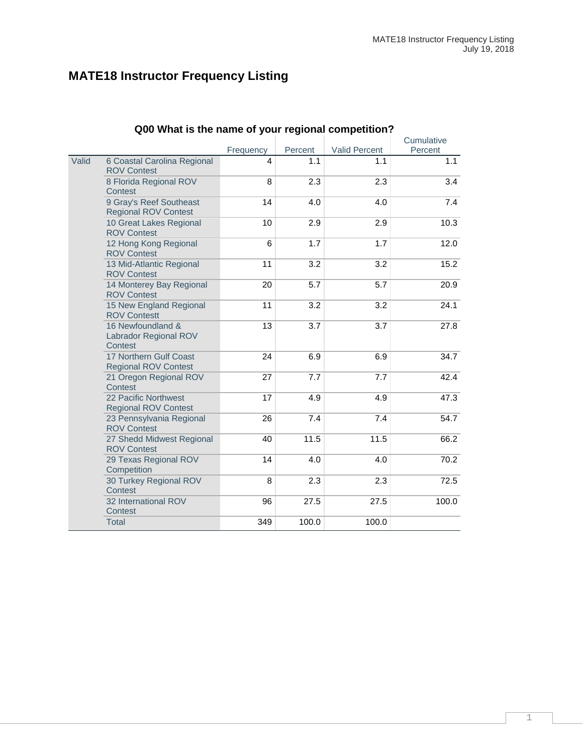# **MATE18 Instructor Frequency Listing**

|       | Q00 what is the name of your regional competition?     |           |         |                      |                       |
|-------|--------------------------------------------------------|-----------|---------|----------------------|-----------------------|
|       |                                                        | Frequency | Percent | <b>Valid Percent</b> | Cumulative<br>Percent |
| Valid | 6 Coastal Carolina Regional<br><b>ROV Contest</b>      | 4         | 1.1     | 1.1                  | 1.1                   |
|       | 8 Florida Regional ROV<br>Contest                      | 8         | 2.3     | 2.3                  | 3.4                   |
|       | 9 Gray's Reef Southeast<br><b>Regional ROV Contest</b> | 14        | 4.0     | 4.0                  | 7.4                   |
|       | 10 Great Lakes Regional<br><b>ROV Contest</b>          | 10        | 2.9     | 2.9                  | 10.3                  |
|       | 12 Hong Kong Regional<br><b>ROV Contest</b>            | 6         | 1.7     | 1.7                  | 12.0                  |
|       | 13 Mid-Atlantic Regional<br><b>ROV Contest</b>         | 11        | 3.2     | 3.2                  | 15.2                  |
|       | 14 Monterey Bay Regional<br><b>ROV Contest</b>         | 20        | 5.7     | 5.7                  | 20.9                  |
|       | 15 New England Regional<br><b>ROV Contestt</b>         | 11        | 3.2     | 3.2                  | 24.1                  |
|       | 16 Newfoundland &<br>Labrador Regional ROV<br>Contest  | 13        | 3.7     | 3.7                  | 27.8                  |
|       | 17 Northern Gulf Coast<br><b>Regional ROV Contest</b>  | 24        | 6.9     | 6.9                  | 34.7                  |
|       | 21 Oregon Regional ROV<br>Contest                      | 27        | 7.7     | 7.7                  | 42.4                  |
|       | 22 Pacific Northwest<br><b>Regional ROV Contest</b>    | 17        | 4.9     | 4.9                  | 47.3                  |
|       | 23 Pennsylvania Regional<br><b>ROV Contest</b>         | 26        | 7.4     | 7.4                  | 54.7                  |
|       | 27 Shedd Midwest Regional<br><b>ROV Contest</b>        | 40        | 11.5    | 11.5                 | 66.2                  |
|       | 29 Texas Regional ROV<br>Competition                   | 14        | 4.0     | 4.0                  | 70.2                  |
|       | 30 Turkey Regional ROV<br>Contest                      | 8         | 2.3     | 2.3                  | 72.5                  |
|       | 32 International ROV<br>Contest                        | 96        | 27.5    | 27.5                 | 100.0                 |
|       | <b>Total</b>                                           | 349       | 100.0   | 100.0                |                       |

#### **Q00 What is the name of your regional competition?**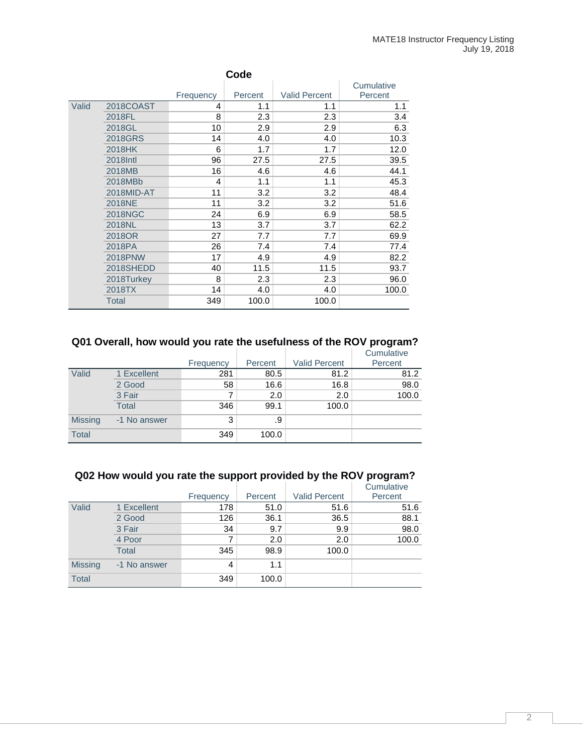|       | Code           |           |         |                      |            |  |  |  |  |
|-------|----------------|-----------|---------|----------------------|------------|--|--|--|--|
|       |                |           |         |                      | Cumulative |  |  |  |  |
|       |                | Frequency | Percent | <b>Valid Percent</b> | Percent    |  |  |  |  |
| Valid | 2018COAST      | 4         | 1.1     | 1.1                  | 1.1        |  |  |  |  |
|       | 2018FL         | 8         | 2.3     | 2.3                  | 3.4        |  |  |  |  |
|       | 2018GL         | 10        | 2.9     | 2.9                  | 6.3        |  |  |  |  |
|       | 2018GRS        | 14        | 4.0     | 4.0                  | 10.3       |  |  |  |  |
|       | 2018HK         | 6         | 1.7     | 1.7                  | 12.0       |  |  |  |  |
|       | 2018 Intl      | 96        | 27.5    | 27.5                 | 39.5       |  |  |  |  |
|       | 2018MB         | 16        | 4.6     | 4.6                  | 44.1       |  |  |  |  |
|       | 2018MBb        | 4         | 1.1     | 1.1                  | 45.3       |  |  |  |  |
|       | 2018MID-AT     | 11        | 3.2     | 3.2                  | 48.4       |  |  |  |  |
|       | 2018NE         | 11        | 3.2     | 3.2                  | 51.6       |  |  |  |  |
|       | <b>2018NGC</b> | 24        | 6.9     | 6.9                  | 58.5       |  |  |  |  |
|       | 2018NL         | 13        | 3.7     | 3.7                  | 62.2       |  |  |  |  |
|       | 2018OR         | 27        | 7.7     | 7.7                  | 69.9       |  |  |  |  |
|       | 2018PA         | 26        | 7.4     | 7.4                  | 77.4       |  |  |  |  |
|       | <b>2018PNW</b> | 17        | 4.9     | 4.9                  | 82.2       |  |  |  |  |
|       | 2018SHEDD      | 40        | 11.5    | 11.5                 | 93.7       |  |  |  |  |
|       | 2018Turkey     | 8         | 2.3     | 2.3                  | 96.0       |  |  |  |  |
|       | 2018TX         | 14        | 4.0     | 4.0                  | 100.0      |  |  |  |  |
|       | <b>Total</b>   | 349       | 100.0   | 100.0                |            |  |  |  |  |

#### **Q01 Overall, how would you rate the usefulness of the ROV program?** Cumulative

|                |              | Frequency | Percent | <b>Valid Percent</b> | <b>UUILLUIQUVU</b><br>Percent |
|----------------|--------------|-----------|---------|----------------------|-------------------------------|
| Valid          | 1 Excellent  | 281       | 80.5    | 81.2                 | 81.2                          |
|                | 2 Good       | 58        | 16.6    | 16.8                 | 98.0                          |
|                | 3 Fair       | 7         | 2.0     | 2.0                  | 100.0                         |
|                | Total        | 346       | 99.1    | 100.0                |                               |
| <b>Missing</b> | -1 No answer | 3         | .9      |                      |                               |
| <b>Total</b>   |              | 349       | 100.0   |                      |                               |

## **Q02 How would you rate the support provided by the ROV program?**

|                |              |           |         |                      | Cumulative |
|----------------|--------------|-----------|---------|----------------------|------------|
|                |              | Frequency | Percent | <b>Valid Percent</b> | Percent    |
| Valid          | 1 Excellent  | 178       | 51.0    | 51.6                 | 51.6       |
|                | 2 Good       | 126       | 36.1    | 36.5                 | 88.1       |
|                | 3 Fair       | 34        | 9.7     | 9.9                  | 98.0       |
|                | 4 Poor       | 7         | 2.0     | 2.0                  | 100.0      |
|                | <b>Total</b> | 345       | 98.9    | 100.0                |            |
| <b>Missing</b> | -1 No answer | 4         | 1.1     |                      |            |
| <b>Total</b>   |              | 349       | 100.0   |                      |            |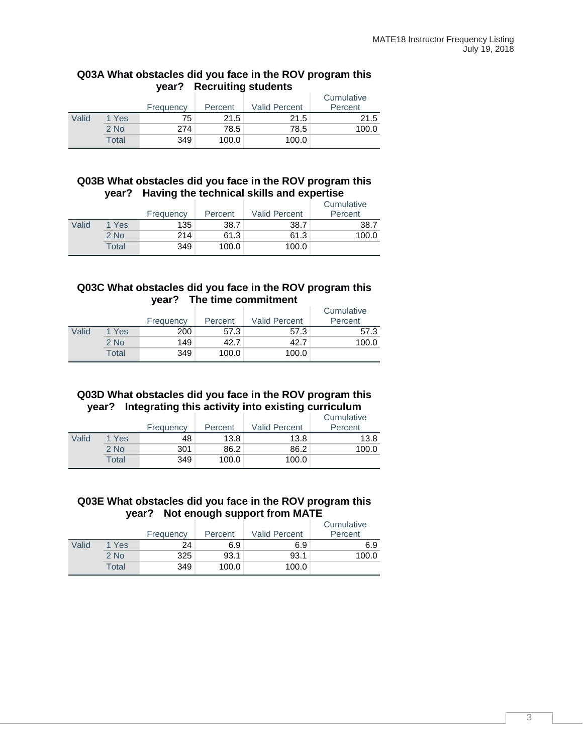#### **Q03A What obstacles did you face in the ROV program this year? Recruiting students**

|       |        | Frequency | Percent | <b>Valid Percent</b> | Cumulative<br>Percent |
|-------|--------|-----------|---------|----------------------|-----------------------|
| Valid | 1 Yes  | 75        | 21.5    | 21.5                 | 21.5                  |
|       | $2$ No | 274       | 78.5    | 78.5                 | 100.0                 |
|       | Total  | 349       | 100.0   | 100.0                |                       |

#### **Q03B What obstacles did you face in the ROV program this year? Having the technical skills and expertise**

|       |        | Frequency | Percent | <b>Valid Percent</b> | Cumulative<br>Percent |
|-------|--------|-----------|---------|----------------------|-----------------------|
| Valid | 1 Yes  | 135       | 38.7    | 38.7                 | 38.7                  |
|       | $2$ No | 214       | 61.3    | 61.3                 | 100.0                 |
|       | Total  | 349       | 100.0   | 100.0                |                       |

#### **Q03C What obstacles did you face in the ROV program this year? The time commitment**

|       |        | Frequency | Percent | <b>Valid Percent</b> | Cumulative<br>Percent |
|-------|--------|-----------|---------|----------------------|-----------------------|
| Valid | 1 Yes  | 200       | 57.3    | 57.3                 | 57.3                  |
|       | $2$ No | 149       | 42.7    | 42.7                 | 100.0                 |
|       | Total  | 349       | 100.0   | 100.0                |                       |

### **Q03D What obstacles did you face in the ROV program this year? Integrating this activity into existing curriculum**

|       |        | Frequency | Percent | <b>Valid Percent</b> | Cumulative<br>Percent |
|-------|--------|-----------|---------|----------------------|-----------------------|
| Valid | 1 Yes  | 48        | 13.8    | 13.8                 | 13.8                  |
|       | $2$ No | 301       | 86.2    | 86.2                 | 100.0                 |
|       | Total  | 349       | 100.0   | 100.0                |                       |

#### **Q03E What obstacles did you face in the ROV program this year? Not enough support from MATE**

|       |        | Frequency | Percent | <b>Valid Percent</b> | Cumulative<br>Percent |
|-------|--------|-----------|---------|----------------------|-----------------------|
| Valid | 1 Yes  | 24        | 6.9     | 6.9                  | 6.9                   |
|       | $2$ No | 325       | 93.1    | 93.1                 | 100.0                 |
|       | Total  | 349       | 100.0   | 100.0                |                       |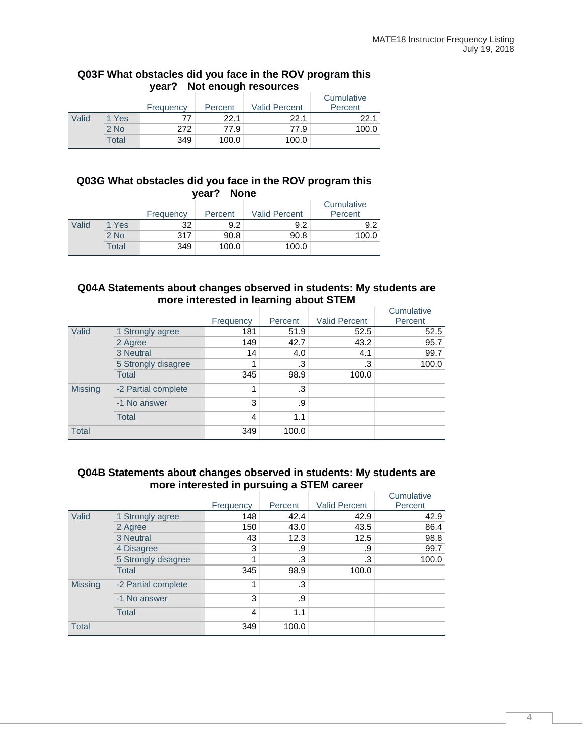#### **Q03F What obstacles did you face in the ROV program this year? Not enough resources**

|       |        | Frequency | Percent | <b>Valid Percent</b> | Cumulative<br>Percent |
|-------|--------|-----------|---------|----------------------|-----------------------|
| Valid | 1 Yes  | 77        | 22.1    | 22.1                 | 22.1                  |
|       | $2$ No | 272       | 77.9    | 77.9                 | 100.0                 |
|       | Total  | 349       | 100.0   | 100.0                |                       |

#### **Q03G What obstacles did you face in the ROV program this year? None**

|       |        | Frequency | Percent | <b>Valid Percent</b> | Cumulative<br>Percent |
|-------|--------|-----------|---------|----------------------|-----------------------|
| Valid | 1 Yes  | 32        | 9.2     | 9.2                  | 9.2                   |
|       | $2$ No | 317       | 90.8    | 90.8                 | 100.0                 |
|       | Total  | 349       | 100.0   | 100.0                |                       |

#### **Q04A Statements about changes observed in students: My students are more interested in learning about STEM**

|                |                     | Frequency | Percent   | <b>Valid Percent</b> | Cumulative<br>Percent |
|----------------|---------------------|-----------|-----------|----------------------|-----------------------|
| Valid          | 1 Strongly agree    | 181       | 51.9      | 52.5                 | 52.5                  |
|                | 2 Agree             | 149       | 42.7      | 43.2                 | 95.7                  |
|                | 3 Neutral           | 14        | 4.0       | 4.1                  | 99.7                  |
|                | 5 Strongly disagree |           | .3        | .3                   | 100.0                 |
|                | Total               | 345       | 98.9      | 100.0                |                       |
| <b>Missing</b> | -2 Partial complete |           | $\cdot$ 3 |                      |                       |
|                | -1 No answer        | 3         | .9        |                      |                       |
|                | <b>Total</b>        | 4         | 1.1       |                      |                       |
| <b>Total</b>   |                     | 349       | 100.0     |                      |                       |

#### **Q04B Statements about changes observed in students: My students are more interested in pursuing a STEM career** Cumulative

|                |                     |           |         |                      | Cumulative |
|----------------|---------------------|-----------|---------|----------------------|------------|
|                |                     | Frequency | Percent | <b>Valid Percent</b> | Percent    |
| Valid          | 1 Strongly agree    | 148       | 42.4    | 42.9                 | 42.9       |
|                | 2 Agree             | 150       | 43.0    | 43.5                 | 86.4       |
|                | 3 Neutral           | 43        | 12.3    | 12.5                 | 98.8       |
|                | 4 Disagree          | 3         | .9      | .9                   | 99.7       |
|                | 5 Strongly disagree |           | .3      | .3                   | 100.0      |
|                | <b>Total</b>        | 345       | 98.9    | 100.0                |            |
| <b>Missing</b> | -2 Partial complete |           | .3      |                      |            |
|                | -1 No answer        | 3         | .9      |                      |            |
|                | Total               | 4         | 1.1     |                      |            |
| <b>Total</b>   |                     | 349       | 100.0   |                      |            |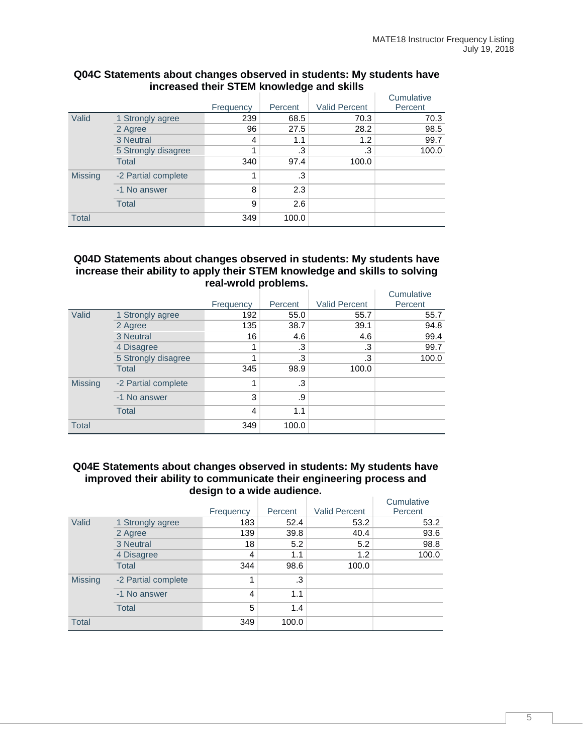|                |                     |           |         |                      | Cumulative |
|----------------|---------------------|-----------|---------|----------------------|------------|
|                |                     | Frequency | Percent | <b>Valid Percent</b> | Percent    |
| Valid          | 1 Strongly agree    | 239       | 68.5    | 70.3                 | 70.3       |
|                | 2 Agree             | 96        | 27.5    | 28.2                 | 98.5       |
|                | 3 Neutral           | 4         | 1.1     | 1.2                  | 99.7       |
|                | 5 Strongly disagree |           | .3      | .3                   | 100.0      |
|                | <b>Total</b>        | 340       | 97.4    | 100.0                |            |
| <b>Missing</b> | -2 Partial complete | 4         | .3      |                      |            |
|                | -1 No answer        | 8         | 2.3     |                      |            |
|                | <b>Total</b>        | 9         | 2.6     |                      |            |
| <b>Total</b>   |                     | 349       | 100.0   |                      |            |

#### **Q04C Statements about changes observed in students: My students have increased their STEM knowledge and skills**

#### **Q04D Statements about changes observed in students: My students have increase their ability to apply their STEM knowledge and skills to solving real-wrold problems.**

|                |                     | Frequency | Percent | <b>Valid Percent</b> | Cumulative<br>Percent |
|----------------|---------------------|-----------|---------|----------------------|-----------------------|
| Valid          | 1 Strongly agree    | 192       | 55.0    | 55.7                 | 55.7                  |
|                | 2 Agree             | 135       | 38.7    | 39.1                 | 94.8                  |
|                | 3 Neutral           | 16        | 4.6     | 4.6                  | 99.4                  |
|                | 4 Disagree          |           | .3      | .3                   | 99.7                  |
|                | 5 Strongly disagree |           | .3      | .3                   | 100.0                 |
|                | <b>Total</b>        | 345       | 98.9    | 100.0                |                       |
| <b>Missing</b> | -2 Partial complete |           | .3      |                      |                       |
|                | -1 No answer        | 3         | .9      |                      |                       |
|                | <b>Total</b>        | 4         | 1.1     |                      |                       |
| <b>Total</b>   |                     | 349       | 100.0   |                      |                       |

#### **Q04E Statements about changes observed in students: My students have improved their ability to communicate their engineering process and design to a wide audience.**

|                |                     |           |         |                      | Cumulative |
|----------------|---------------------|-----------|---------|----------------------|------------|
|                |                     | Frequency | Percent | <b>Valid Percent</b> | Percent    |
| Valid          | 1 Strongly agree    | 183       | 52.4    | 53.2                 | 53.2       |
|                | 2 Agree             | 139       | 39.8    | 40.4                 | 93.6       |
|                | 3 Neutral           | 18        | 5.2     | 5.2                  | 98.8       |
|                | 4 Disagree          | 4         | 1.1     | 1.2                  | 100.0      |
|                | <b>Total</b>        | 344       | 98.6    | 100.0                |            |
| <b>Missing</b> | -2 Partial complete | 1         | .3      |                      |            |
|                | -1 No answer        | 4         | 1.1     |                      |            |
|                | <b>Total</b>        | 5         | 1.4     |                      |            |
| <b>Total</b>   |                     | 349       | 100.0   |                      |            |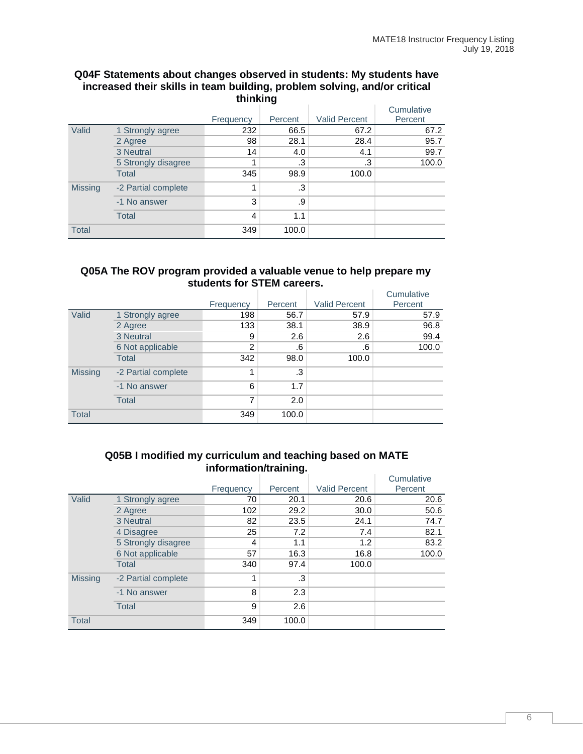#### **Q04F Statements about changes observed in students: My students have increased their skills in team building, problem solving, and/or critical thinking**

|                |                     | Frequency | Percent | <b>Valid Percent</b> | Cumulative<br>Percent |
|----------------|---------------------|-----------|---------|----------------------|-----------------------|
| Valid          | 1 Strongly agree    | 232       | 66.5    | 67.2                 | 67.2                  |
|                | 2 Agree             | 98        | 28.1    | 28.4                 | 95.7                  |
|                | 3 Neutral           | 14        | 4.0     | 4.1                  | 99.7                  |
|                | 5 Strongly disagree |           | .3      | .3                   | 100.0                 |
|                | <b>Total</b>        | 345       | 98.9    | 100.0                |                       |
| <b>Missing</b> | -2 Partial complete | 1         | .3      |                      |                       |
|                | -1 No answer        | 3         | .9      |                      |                       |
|                | Total               | 4         | 1.1     |                      |                       |
| <b>Total</b>   |                     | 349       | 100.0   |                      |                       |

#### **Q05A The ROV program provided a valuable venue to help prepare my students for STEM careers.**

|                |                     |           |         |                      | Cumulative |
|----------------|---------------------|-----------|---------|----------------------|------------|
|                |                     | Frequency | Percent | <b>Valid Percent</b> | Percent    |
| Valid          | 1 Strongly agree    | 198       | 56.7    | 57.9                 | 57.9       |
|                | 2 Agree             | 133       | 38.1    | 38.9                 | 96.8       |
|                | 3 Neutral           | 9         | 2.6     | 2.6                  | 99.4       |
|                | 6 Not applicable    | 2         | .6      | .6                   | 100.0      |
|                | <b>Total</b>        | 342       | 98.0    | 100.0                |            |
| <b>Missing</b> | -2 Partial complete | 1         | .3      |                      |            |
|                | -1 No answer        | 6         | 1.7     |                      |            |
|                | <b>Total</b>        | 7         | 2.0     |                      |            |
| <b>Total</b>   |                     | 349       | 100.0   |                      |            |

#### **Q05B I modified my curriculum and teaching based on MATE information/training.**

|                |                     |           |         |                      | Cumulative |
|----------------|---------------------|-----------|---------|----------------------|------------|
|                |                     | Frequency | Percent | <b>Valid Percent</b> | Percent    |
| Valid          | 1 Strongly agree    | 70        | 20.1    | 20.6                 | 20.6       |
|                | 2 Agree             | 102       | 29.2    | 30.0                 | 50.6       |
|                | 3 Neutral           | 82        | 23.5    | 24.1                 | 74.7       |
|                | 4 Disagree          | 25        | 7.2     | 7.4                  | 82.1       |
|                | 5 Strongly disagree | 4         | 1.1     | 1.2                  | 83.2       |
|                | 6 Not applicable    | 57        | 16.3    | 16.8                 | 100.0      |
|                | Total               | 340       | 97.4    | 100.0                |            |
| <b>Missing</b> | -2 Partial complete | 1         | .3      |                      |            |
|                | -1 No answer        | 8         | 2.3     |                      |            |
|                | <b>Total</b>        | 9         | 2.6     |                      |            |
| <b>Total</b>   |                     | 349       | 100.0   |                      |            |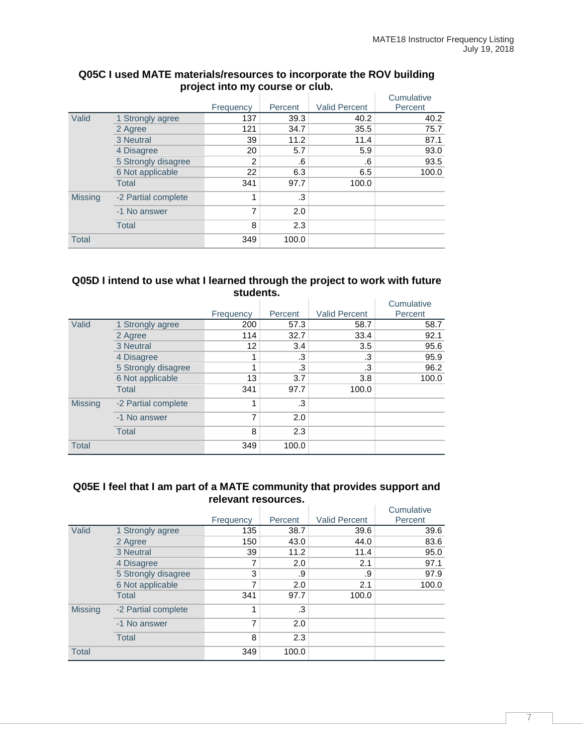|                |                     |                |         |                      | Cumulative |
|----------------|---------------------|----------------|---------|----------------------|------------|
|                |                     | Frequency      | Percent | <b>Valid Percent</b> | Percent    |
| Valid          | 1 Strongly agree    | 137            | 39.3    | 40.2                 | 40.2       |
|                | 2 Agree             | 121            | 34.7    | 35.5                 | 75.7       |
|                | 3 Neutral           | 39             | 11.2    | 11.4                 | 87.1       |
|                | 4 Disagree          | 20             | 5.7     | 5.9                  | 93.0       |
|                | 5 Strongly disagree | 2              | .6      | .6                   | 93.5       |
|                | 6 Not applicable    | 22             | 6.3     | 6.5                  | 100.0      |
|                | <b>Total</b>        | 341            | 97.7    | 100.0                |            |
| <b>Missing</b> | -2 Partial complete | 1              | .3      |                      |            |
|                | -1 No answer        | $\overline{7}$ | 2.0     |                      |            |
|                | <b>Total</b>        | 8              | 2.3     |                      |            |
| <b>Total</b>   |                     | 349            | 100.0   |                      |            |

#### **Q05C I used MATE materials/resources to incorporate the ROV building project into my course or club.**

#### **Q05D I intend to use what I learned through the project to work with future students.**

|                |                     |                |         |                      | Cumulative |
|----------------|---------------------|----------------|---------|----------------------|------------|
|                |                     | Frequency      | Percent | <b>Valid Percent</b> | Percent    |
| Valid          | 1 Strongly agree    | 200            | 57.3    | 58.7                 | 58.7       |
|                | 2 Agree             | 114            | 32.7    | 33.4                 | 92.1       |
|                | 3 Neutral           | 12             | 3.4     | 3.5                  | 95.6       |
|                | 4 Disagree          | 4              | .3      | .3                   | 95.9       |
|                | 5 Strongly disagree |                | .3      | .3                   | 96.2       |
|                | 6 Not applicable    | 13             | 3.7     | 3.8                  | 100.0      |
|                | <b>Total</b>        | 341            | 97.7    | 100.0                |            |
| <b>Missing</b> | -2 Partial complete | 1              | .3      |                      |            |
|                | -1 No answer        | $\overline{7}$ | 2.0     |                      |            |
|                | <b>Total</b>        | 8              | 2.3     |                      |            |
| <b>Total</b>   |                     | 349            | 100.0   |                      |            |

#### **Q05E I feel that I am part of a MATE community that provides support and relevant resources.**  $\overline{C}$  Cumulative  $\overline{C}$

|                |                     |           |         |                      | Cumulative |
|----------------|---------------------|-----------|---------|----------------------|------------|
|                |                     | Frequency | Percent | <b>Valid Percent</b> | Percent    |
| Valid          | 1 Strongly agree    | 135       | 38.7    | 39.6                 | 39.6       |
|                | 2 Agree             | 150       | 43.0    | 44.0                 | 83.6       |
|                | 3 Neutral           | 39        | 11.2    | 11.4                 | 95.0       |
|                | 4 Disagree          | 7         | 2.0     | 2.1                  | 97.1       |
|                | 5 Strongly disagree | 3         | .9      | .9                   | 97.9       |
|                | 6 Not applicable    | 7         | 2.0     | 2.1                  | 100.0      |
|                | Total               | 341       | 97.7    | 100.0                |            |
| <b>Missing</b> | -2 Partial complete | 1         | .3      |                      |            |
|                | -1 No answer        | 7         | 2.0     |                      |            |
|                | <b>Total</b>        | 8         | 2.3     |                      |            |
| <b>Total</b>   |                     | 349       | 100.0   |                      |            |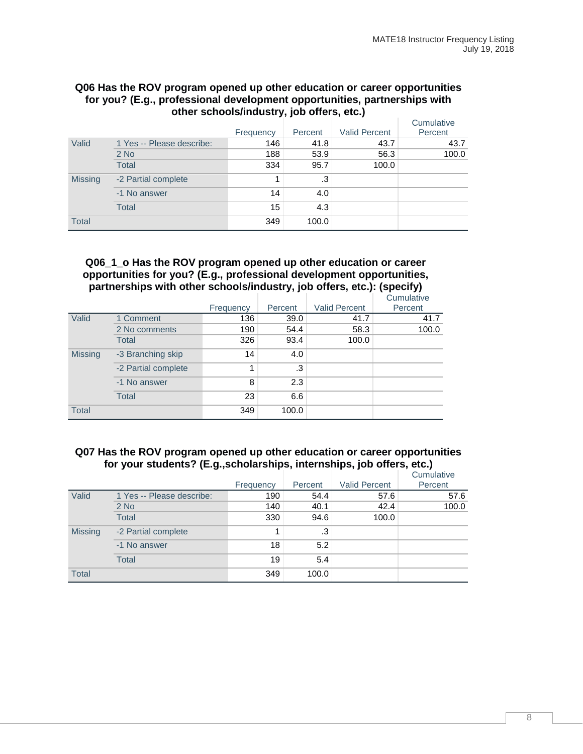#### **Q06 Has the ROV program opened up other education or career opportunities for you? (E.g., professional development opportunities, partnerships with other schools/industry, job offers, etc.)**

|                |                           |           |         |                      | Cumulative |
|----------------|---------------------------|-----------|---------|----------------------|------------|
|                |                           | Frequency | Percent | <b>Valid Percent</b> | Percent    |
| Valid          | 1 Yes -- Please describe: | 146       | 41.8    | 43.7                 | 43.7       |
|                | $2$ No                    | 188       | 53.9    | 56.3                 | 100.0      |
|                | <b>Total</b>              | 334       | 95.7    | 100.0                |            |
| <b>Missing</b> | -2 Partial complete       |           | .3      |                      |            |
|                | -1 No answer              | 14        | 4.0     |                      |            |
|                | <b>Total</b>              | 15        | 4.3     |                      |            |
| <b>Total</b>   |                           | 349       | 100.0   |                      |            |

#### **Q06\_1\_o Has the ROV program opened up other education or career opportunities for you? (E.g., professional development opportunities, partnerships with other schools/industry, job offers, etc.): (specify)**

|                |                     |           |         |                      | Cumulative |
|----------------|---------------------|-----------|---------|----------------------|------------|
|                |                     | Frequency | Percent | <b>Valid Percent</b> | Percent    |
| Valid          | 1 Comment           | 136       | 39.0    | 41.7                 | 41.7       |
|                | 2 No comments       | 190       | 54.4    | 58.3                 | 100.0      |
|                | <b>Total</b>        | 326       | 93.4    | 100.0                |            |
| <b>Missing</b> | -3 Branching skip   | 14        | 4.0     |                      |            |
|                | -2 Partial complete | 1         | .3      |                      |            |
|                | -1 No answer        | 8         | 2.3     |                      |            |
|                | <b>Total</b>        | 23        | 6.6     |                      |            |
| <b>Total</b>   |                     | 349       | 100.0   |                      |            |

#### **Q07 Has the ROV program opened up other education or career opportunities for your students? (E.g.,scholarships, internships, job offers, etc.)**

|                |                           | Frequency | Percent | <b>Valid Percent</b> | Cumulative<br>Percent |
|----------------|---------------------------|-----------|---------|----------------------|-----------------------|
| Valid          | 1 Yes -- Please describe: | 190       | 54.4    | 57.6                 | 57.6                  |
|                | 2 No                      | 140       | 40.1    | 42.4                 | 100.0                 |
|                | <b>Total</b>              | 330       | 94.6    | 100.0                |                       |
| <b>Missing</b> | -2 Partial complete       |           | .3      |                      |                       |
|                | -1 No answer              | 18        | 5.2     |                      |                       |
|                | <b>Total</b>              | 19        | 5.4     |                      |                       |
| <b>Total</b>   |                           | 349       | 100.0   |                      |                       |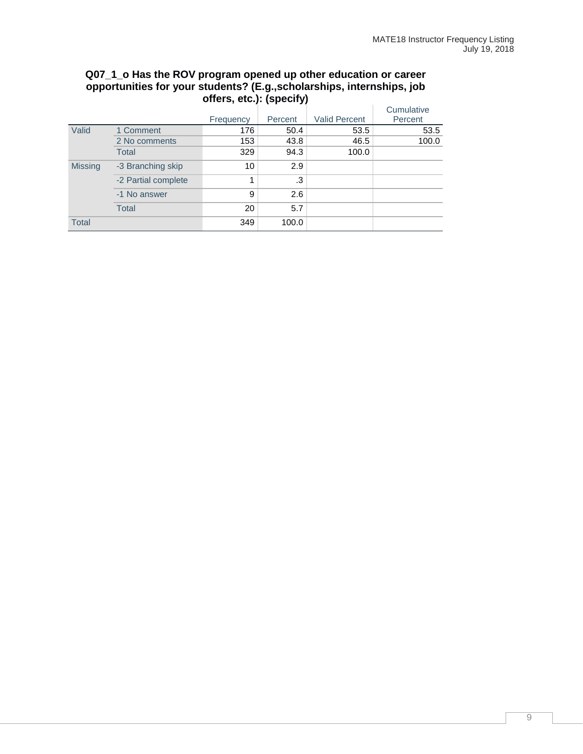|                |                     | Frequency | Percent | <b>Valid Percent</b> | Cumulative<br>Percent |
|----------------|---------------------|-----------|---------|----------------------|-----------------------|
| Valid          | 1 Comment           | 176       | 50.4    | 53.5                 | 53.5                  |
|                | 2 No comments       | 153       | 43.8    | 46.5                 | 100.0                 |
|                | Total               | 329       | 94.3    | 100.0                |                       |
| <b>Missing</b> | -3 Branching skip   | 10        | 2.9     |                      |                       |
|                | -2 Partial complete | 1         | .3      |                      |                       |
|                | -1 No answer        | 9         | 2.6     |                      |                       |
|                | Total               | 20        | 5.7     |                      |                       |
| <b>Total</b>   |                     | 349       | 100.0   |                      |                       |

#### **Q07\_1\_o Has the ROV program opened up other education or career opportunities for your students? (E.g.,scholarships, internships, job offers, etc.): (specify)**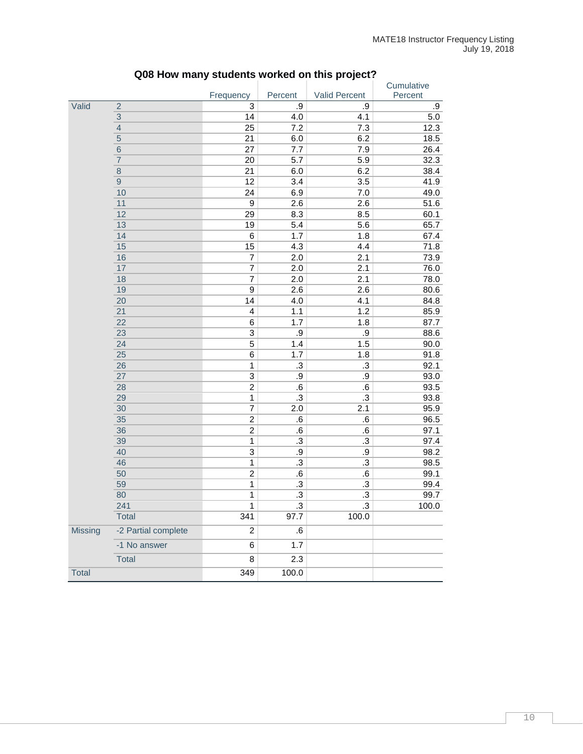|                |                     |                         |                 |               | Cumulative |
|----------------|---------------------|-------------------------|-----------------|---------------|------------|
|                |                     | Frequency               | Percent         | Valid Percent | Percent    |
| Valid          | $\overline{2}$      | 3                       | .9              | .9            | .9         |
|                | $\mathbf{3}$        | 14                      | 4.0             | 4.1           | 5.0        |
|                | $\overline{4}$      | 25                      | 7.2             | 7.3           | 12.3       |
|                | $\overline{5}$      | 21                      | 6.0             | 6.2           | 18.5       |
|                | $6\phantom{1}6$     | 27                      | 7.7             | 7.9           | 26.4       |
|                | $\overline{7}$      | 20                      | 5.7             | 5.9           | 32.3       |
|                | $\,8\,$             | 21                      | 6.0             | 6.2           | 38.4       |
|                | $\boldsymbol{9}$    | 12                      | 3.4             | 3.5           | 41.9       |
|                | 10                  | 24                      | 6.9             | 7.0           | 49.0       |
|                | 11                  | $\boldsymbol{9}$        | 2.6             | 2.6           | 51.6       |
|                | 12                  | 29                      | 8.3             | 8.5           | 60.1       |
|                | 13                  | 19                      | 5.4             | 5.6           | 65.7       |
|                | 14                  | $\,6$                   | 1.7             | 1.8           | 67.4       |
|                | 15                  | 15                      | 4.3             | 4.4           | 71.8       |
|                | 16                  | 7                       | 2.0             | 2.1           | 73.9       |
|                | 17                  | 7                       | 2.0             | 2.1           | 76.0       |
|                | 18                  | $\overline{7}$          | 2.0             | 2.1           | 78.0       |
|                | 19                  | $\overline{9}$          | 2.6             | 2.6           | 80.6       |
|                | 20                  | 14                      | 4.0             | 4.1           | 84.8       |
|                | 21                  | 4                       | 1.1             | 1.2           | 85.9       |
|                | 22                  | 6                       | 1.7             | 1.8           | 87.7       |
|                | 23                  | 3                       | $.9\,$          | $.9\,$        | 88.6       |
|                | 24                  | 5                       | 1.4             | 1.5           | 90.0       |
|                | 25                  | 6                       | 1.7             | 1.8           | 91.8       |
|                | 26                  | $\mathbf 1$             | $\cdot$ 3       | .3            | 92.1       |
|                | 27                  | 3                       | $.9\,$          | .9            | 93.0       |
|                | 28                  | $\overline{2}$          | $\cdot 6$       | ${\bf .6}$    | 93.5       |
|                | 29                  | $\overline{1}$          | $\cdot$         | $.3\,$        | 93.8       |
|                | 30                  | $\overline{7}$          | 2.0             | 2.1           | 95.9       |
|                | 35                  | $\overline{2}$          | ${\bf .6}$      | 6.6           | 96.5       |
|                | 36                  | $\overline{2}$          | $\cdot 6$       | ${\bf .6}$    | 97.1       |
|                | 39                  | $\mathbf{1}$            | $\cdot$ 3       | $\cdot$ 3     | 97.4       |
|                | 40                  | 3                       | $.9\,$          | .9            | 98.2       |
|                | 46                  | $\mathbf 1$             | $\cdot$ 3       | $\cdot$ 3     | 98.5       |
|                | 50                  | $\overline{c}$          | ${\bf .6}$      | $.6\,$        | 99.1       |
|                | 59                  | $\mathbf 1$             | $\cdot$ 3       | $\cdot$ 3     | 99.4       |
|                | 80                  | $\mathbf 1$             | $\cdot$ 3       | $\cdot$ 3     | 99.7       |
|                | 241                 | $\overline{1}$          | $\overline{.3}$ | $\cdot$ 3     | 100.0      |
|                | <b>Total</b>        | 341                     | 97.7            | 100.0         |            |
| <b>Missing</b> | -2 Partial complete | $\overline{\mathbf{c}}$ | ${\bf .6}$      |               |            |
|                | -1 No answer        | 6                       | 1.7             |               |            |
|                | Total               | 8                       | 2.3             |               |            |
| Total          |                     | 349                     | 100.0           |               |            |

# **Q08 How many students worked on this project?**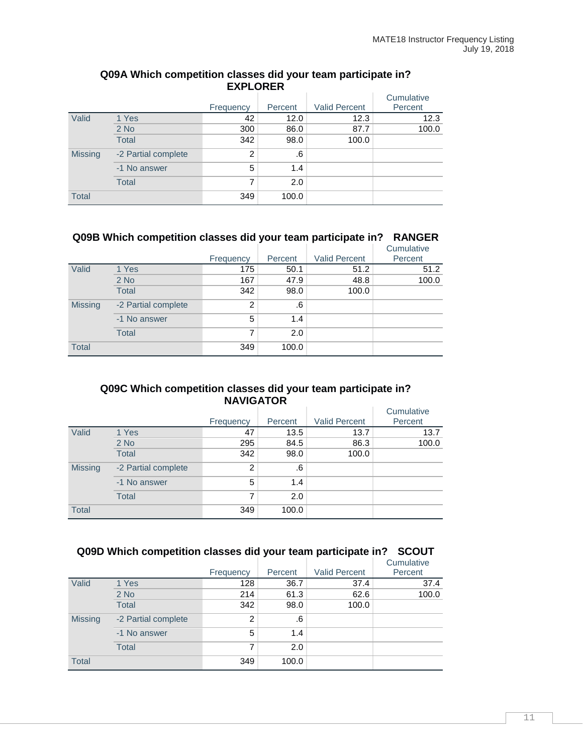|                |                     |           |         |                      | Cumulative |
|----------------|---------------------|-----------|---------|----------------------|------------|
|                |                     | Frequency | Percent | <b>Valid Percent</b> | Percent    |
| Valid          | 1 Yes               | 42        | 12.0    | 12.3                 | 12.3       |
|                | $2$ No              | 300       | 86.0    | 87.7                 | 100.0      |
|                | <b>Total</b>        | 342       | 98.0    | 100.0                |            |
| <b>Missing</b> | -2 Partial complete | 2         | .6      |                      |            |
|                | -1 No answer        | 5         | 1.4     |                      |            |
|                | <b>Total</b>        | 7         | 2.0     |                      |            |
| <b>Total</b>   |                     | 349       | 100.0   |                      |            |

#### **Q09A Which competition classes did your team participate in? EXPLORER**

## **Q09B Which competition classes did your team participate in? RANGER**

|                |                     |                |         |                      | Cumulative |
|----------------|---------------------|----------------|---------|----------------------|------------|
|                |                     | Frequency      | Percent | <b>Valid Percent</b> | Percent    |
| Valid          | 1 Yes               | 175            | 50.1    | 51.2                 | 51.2       |
|                | $2$ No              | 167            | 47.9    | 48.8                 | 100.0      |
|                | <b>Total</b>        | 342            | 98.0    | 100.0                |            |
| <b>Missing</b> | -2 Partial complete | $\overline{2}$ | .6      |                      |            |
|                | -1 No answer        | 5              | 1.4     |                      |            |
|                | <b>Total</b>        | 7              | 2.0     |                      |            |
| <b>Total</b>   |                     | 349            | 100.0   |                      |            |

#### **Q09C Which competition classes did your team participate in? NAVIGATOR**

|                |                     |                |         |                      | Cumulative |
|----------------|---------------------|----------------|---------|----------------------|------------|
|                |                     | Frequency      | Percent | <b>Valid Percent</b> | Percent    |
| Valid          | 1 Yes               | 47             | 13.5    | 13.7                 | 13.7       |
|                | $2$ No              | 295            | 84.5    | 86.3                 | 100.0      |
|                | <b>Total</b>        | 342            | 98.0    | 100.0                |            |
| <b>Missing</b> | -2 Partial complete | $\overline{2}$ | .6      |                      |            |
|                | -1 No answer        | 5              | 1.4     |                      |            |
|                | <b>Total</b>        | 7              | 2.0     |                      |            |
| <b>Total</b>   |                     | 349            | 100.0   |                      |            |

#### **Q09D Which competition classes did your team participate in? SCOUT**

|                |                     | Frequency      | Percent | <b>Valid Percent</b> | Cumulative<br>Percent |
|----------------|---------------------|----------------|---------|----------------------|-----------------------|
| Valid          | 1 Yes               | 128            | 36.7    | 37.4                 | 37.4                  |
|                | $2$ No              | 214            | 61.3    | 62.6                 | 100.0                 |
|                | <b>Total</b>        | 342            | 98.0    | 100.0                |                       |
| <b>Missing</b> | -2 Partial complete | $\overline{2}$ | .6      |                      |                       |
|                | -1 No answer        | 5              | 1.4     |                      |                       |
|                | <b>Total</b>        | 7              | 2.0     |                      |                       |
| <b>Total</b>   |                     | 349            | 100.0   |                      |                       |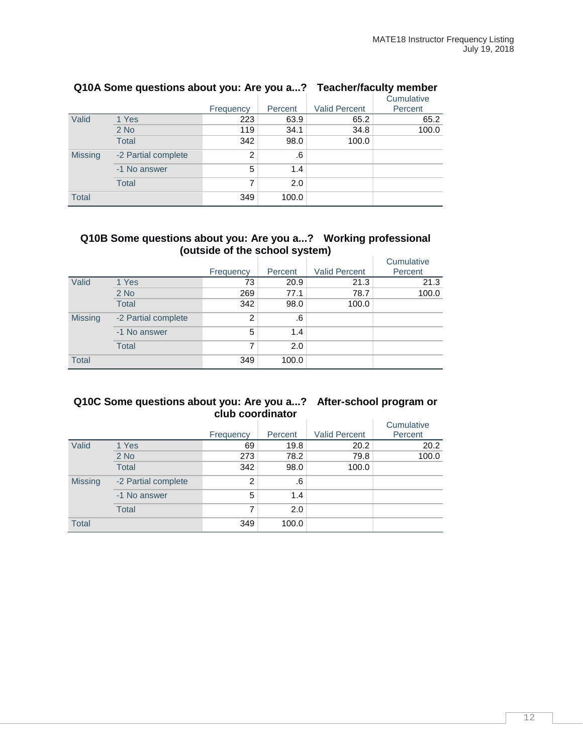|                | . .                 | Frequency      | Percent | <b>Valid Percent</b> | Cumulative<br>Percent |
|----------------|---------------------|----------------|---------|----------------------|-----------------------|
| Valid          | 1 Yes               | 223            | 63.9    | 65.2                 | 65.2                  |
|                | $2$ No              | 119            | 34.1    | 34.8                 | 100.0                 |
|                | <b>Total</b>        | 342            | 98.0    | 100.0                |                       |
| <b>Missing</b> | -2 Partial complete | $\overline{2}$ | .6      |                      |                       |
|                | -1 No answer        | 5              | 1.4     |                      |                       |
|                | <b>Total</b>        | 7              | 2.0     |                      |                       |
| <b>Total</b>   |                     | 349            | 100.0   |                      |                       |

## **Q10A Some questions about you: Are you a...? Teacher/faculty member**

#### **Q10B Some questions about you: Are you a...? Working professional (outside of the school system)**

|                |                     |                |         |                      | Cumulative |
|----------------|---------------------|----------------|---------|----------------------|------------|
|                |                     | Frequency      | Percent | <b>Valid Percent</b> | Percent    |
| Valid          | 1 Yes               | 73             | 20.9    | 21.3                 | 21.3       |
|                | $2$ No              | 269            | 77.1    | 78.7                 | 100.0      |
|                | <b>Total</b>        | 342            | 98.0    | 100.0                |            |
| <b>Missing</b> | -2 Partial complete | $\overline{2}$ | .6      |                      |            |
|                | -1 No answer        | 5              | 1.4     |                      |            |
|                | <b>Total</b>        | 7              | 2.0     |                      |            |
| <b>Total</b>   |                     | 349            | 100.0   |                      |            |

#### **Q10C Some questions about you: Are you a...? After-school program or club coordinator**

|                |                     | Frequency      | Percent | <b>Valid Percent</b> | Cumulative<br>Percent |
|----------------|---------------------|----------------|---------|----------------------|-----------------------|
| Valid          | 1 Yes               | 69             | 19.8    | 20.2                 | 20.2                  |
|                | $2$ No              | 273            | 78.2    | 79.8                 | 100.0                 |
|                | <b>Total</b>        | 342            | 98.0    | 100.0                |                       |
| <b>Missing</b> | -2 Partial complete | $\overline{2}$ | .6      |                      |                       |
|                | -1 No answer        | 5              | 1.4     |                      |                       |
|                | <b>Total</b>        | 7              | 2.0     |                      |                       |
| <b>Total</b>   |                     | 349            | 100.0   |                      |                       |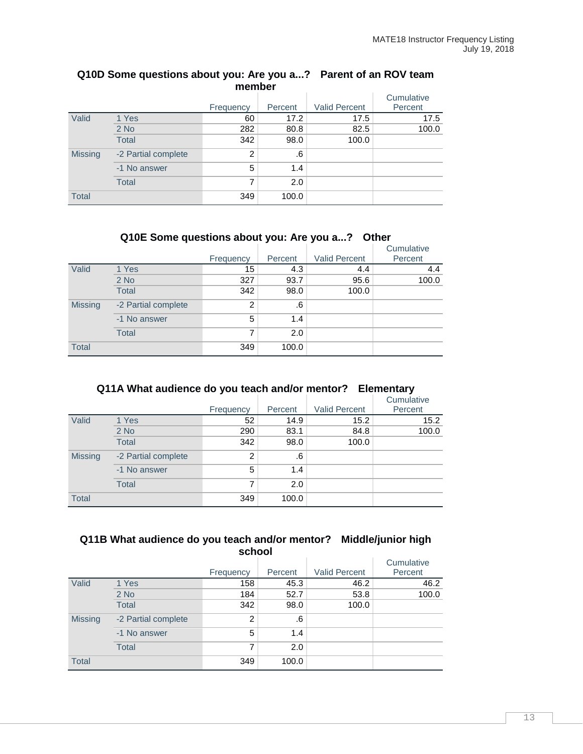| memper         |                     |           |         |                      |            |  |  |
|----------------|---------------------|-----------|---------|----------------------|------------|--|--|
|                |                     |           |         |                      | Cumulative |  |  |
|                |                     | Frequency | Percent | <b>Valid Percent</b> | Percent    |  |  |
| Valid          | 1 Yes               | 60        | 17.2    | 17.5                 | 17.5       |  |  |
|                | $2$ No              | 282       | 80.8    | 82.5                 | 100.0      |  |  |
|                | <b>Total</b>        | 342       | 98.0    | 100.0                |            |  |  |
| <b>Missing</b> | -2 Partial complete | 2         | .6      |                      |            |  |  |
|                | -1 No answer        | 5         | 1.4     |                      |            |  |  |
|                | <b>Total</b>        | 7         | 2.0     |                      |            |  |  |
| <b>Total</b>   |                     | 349       | 100.0   |                      |            |  |  |

#### **Q10D Some questions about you: Are you a...? Parent of an ROV team member**

## **Q10E Some questions about you: Are you a...? Other**

|                |                     |                |         |                      | Cumulative |
|----------------|---------------------|----------------|---------|----------------------|------------|
|                |                     | Frequency      | Percent | <b>Valid Percent</b> | Percent    |
| Valid          | 1 Yes               | 15             | 4.3     | 4.4                  | 4.4        |
|                | $2$ No              | 327            | 93.7    | 95.6                 | 100.0      |
|                | <b>Total</b>        | 342            | 98.0    | 100.0                |            |
| <b>Missing</b> | -2 Partial complete | $\overline{2}$ | .6      |                      |            |
|                | -1 No answer        | 5              | 1.4     |                      |            |
|                | <b>Total</b>        | 7              | 2.0     |                      |            |
| <b>Total</b>   |                     | 349            | 100.0   |                      |            |

### **Q11A What audience do you teach and/or mentor? Elementary**

|                |                     |                |         |                      | Cumulative |
|----------------|---------------------|----------------|---------|----------------------|------------|
|                |                     | Frequency      | Percent | <b>Valid Percent</b> | Percent    |
| Valid          | 1 Yes               | 52             | 14.9    | 15.2                 | 15.2       |
|                | $2$ No              | 290            | 83.1    | 84.8                 | 100.0      |
|                | <b>Total</b>        | 342            | 98.0    | 100.0                |            |
| <b>Missing</b> | -2 Partial complete | $\overline{2}$ | .6      |                      |            |
|                | -1 No answer        | 5              | 1.4     |                      |            |
|                | <b>Total</b>        | 7              | 2.0     |                      |            |
| <b>Total</b>   |                     | 349            | 100.0   |                      |            |

#### **Q11B What audience do you teach and/or mentor? Middle/junior high school**

|                |                     |                |         |                      | Cumulative |
|----------------|---------------------|----------------|---------|----------------------|------------|
|                |                     | Frequency      | Percent | <b>Valid Percent</b> | Percent    |
| Valid          | 1 Yes               | 158            | 45.3    | 46.2                 | 46.2       |
|                | $2$ No              | 184            | 52.7    | 53.8                 | 100.0      |
|                | <b>Total</b>        | 342            | 98.0    | 100.0                |            |
| <b>Missing</b> | -2 Partial complete | $\overline{2}$ | .6      |                      |            |
|                | -1 No answer        | 5              | 1.4     |                      |            |
|                | <b>Total</b>        | 7              | 2.0     |                      |            |
| <b>Total</b>   |                     | 349            | 100.0   |                      |            |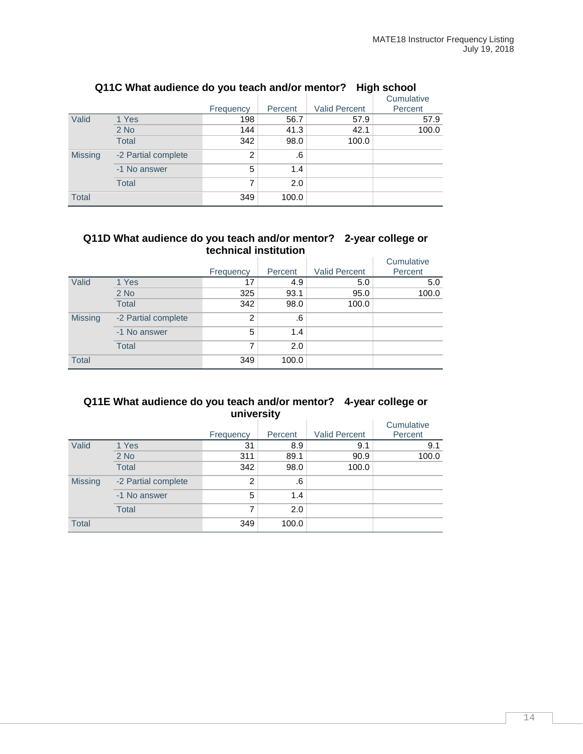|                |                     | Frequency      | Percent | ັ<br><b>Valid Percent</b> | Cumulative<br>Percent |
|----------------|---------------------|----------------|---------|---------------------------|-----------------------|
| Valid          | 1 Yes               | 198            | 56.7    | 57.9                      | 57.9                  |
|                | $2$ No              | 144            | 41.3    | 42.1                      | 100.0                 |
|                | <b>Total</b>        | 342            | 98.0    | 100.0                     |                       |
| <b>Missing</b> | -2 Partial complete | $\overline{2}$ | .6      |                           |                       |
|                | -1 No answer        | 5              | 1.4     |                           |                       |
|                | <b>Total</b>        | 7              | 2.0     |                           |                       |
| <b>Total</b>   |                     | 349            | 100.0   |                           |                       |

#### **Q11C What audience do you teach and/or mentor? High school**

#### **Q11D What audience do you teach and/or mentor? 2-year college or technical institution**

|                |                     |           |         |                      | Cumulative |
|----------------|---------------------|-----------|---------|----------------------|------------|
|                |                     | Frequency | Percent | <b>Valid Percent</b> | Percent    |
| Valid          | 1 Yes               | 17        | 4.9     | 5.0                  | 5.0        |
|                | $2$ No              | 325       | 93.1    | 95.0                 | 100.0      |
|                | <b>Total</b>        | 342       | 98.0    | 100.0                |            |
| <b>Missing</b> | -2 Partial complete | 2         | .6      |                      |            |
|                | -1 No answer        | 5         | 1.4     |                      |            |
|                | <b>Total</b>        | 7         | 2.0     |                      |            |
| <b>Total</b>   |                     | 349       | 100.0   |                      |            |

#### **Q11E What audience do you teach and/or mentor? 4-year college or university**

|                |                     | Frequency      | Percent | <b>Valid Percent</b> | Cumulative<br>Percent |
|----------------|---------------------|----------------|---------|----------------------|-----------------------|
| Valid          | 1 Yes               | 31             | 8.9     | 9.1                  | 9.1                   |
|                | $2$ No              | 311            | 89.1    | 90.9                 | 100.0                 |
|                | <b>Total</b>        | 342            | 98.0    | 100.0                |                       |
| <b>Missing</b> | -2 Partial complete | $\overline{2}$ | .6      |                      |                       |
|                | -1 No answer        | 5              | 1.4     |                      |                       |
|                | <b>Total</b>        | 7              | 2.0     |                      |                       |
| <b>Total</b>   |                     | 349            | 100.0   |                      |                       |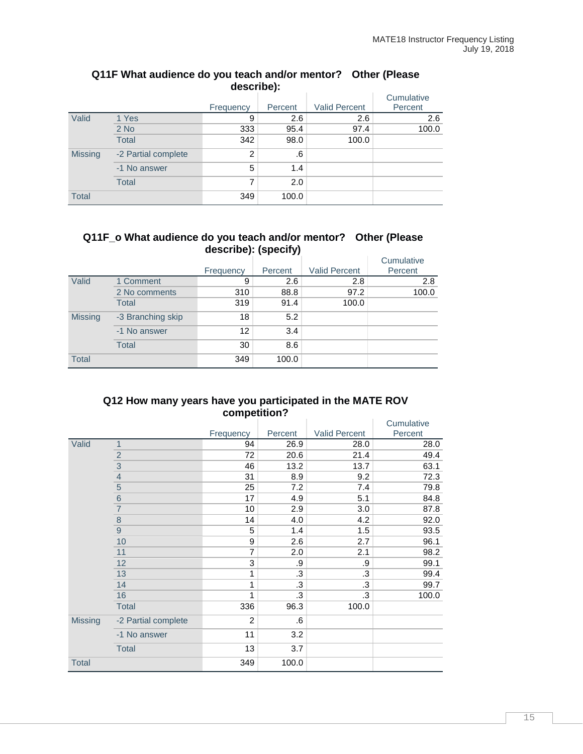|                |                     | Frequency      | Percent | <b>Valid Percent</b> | Cumulative<br>Percent |  |  |
|----------------|---------------------|----------------|---------|----------------------|-----------------------|--|--|
|                |                     |                |         |                      |                       |  |  |
| Valid          | 1 Yes               | 9              | 2.6     | 2.6                  | 2.6                   |  |  |
|                | $2$ No              | 333            | 95.4    | 97.4                 | 100.0                 |  |  |
|                | <b>Total</b>        | 342            | 98.0    | 100.0                |                       |  |  |
| <b>Missing</b> | -2 Partial complete | $\overline{2}$ | .6      |                      |                       |  |  |
|                | -1 No answer        | 5              | 1.4     |                      |                       |  |  |
|                | <b>Total</b>        | 7              | 2.0     |                      |                       |  |  |
| <b>Total</b>   |                     | 349            | 100.0   |                      |                       |  |  |

#### **Q11F What audience do you teach and/or mentor? Other (Please describe):**

#### **Q11F\_o What audience do you teach and/or mentor? Other (Please describe): (specify)**

|                |                   | Frequency | Percent | <b>Valid Percent</b> | Cumulative<br>Percent |
|----------------|-------------------|-----------|---------|----------------------|-----------------------|
| Valid          | 1 Comment         | 9         | 2.6     | 2.8                  | 2.8                   |
|                | 2 No comments     | 310       | 88.8    | 97.2                 | 100.0                 |
|                | <b>Total</b>      | 319       | 91.4    | 100.0                |                       |
| <b>Missing</b> | -3 Branching skip | 18        | 5.2     |                      |                       |
|                | -1 No answer      | 12        | 3.4     |                      |                       |
|                | <b>Total</b>      | 30        | 8.6     |                      |                       |
| <b>Total</b>   |                   | 349       | 100.0   |                      |                       |

#### **Q12 How many years have you participated in the MATE ROV competition?**

|                |                     |                |         |                      | Cumulative |
|----------------|---------------------|----------------|---------|----------------------|------------|
|                |                     | Frequency      | Percent | <b>Valid Percent</b> | Percent    |
| Valid          | $\mathbf{1}$        | 94             | 26.9    | 28.0                 | 28.0       |
|                |                     | 72             | 20.6    | 21.4                 | 49.4       |
|                | $\frac{2}{3}$       | 46             | 13.2    | 13.7                 | 63.1       |
|                | $\frac{4}{5}$       | 31             | 8.9     | 9.2                  | 72.3       |
|                |                     | 25             | 7.2     | 7.4                  | 79.8       |
|                | $\frac{6}{7}$       | 17             | 4.9     | 5.1                  | 84.8       |
|                |                     | 10             | 2.9     | 3.0                  | 87.8       |
|                | $\frac{8}{9}$       | 14             | 4.0     | 4.2                  | 92.0       |
|                |                     | 5              | 1.4     | 1.5                  | 93.5       |
|                | 10                  | 9              | 2.6     | 2.7                  | 96.1       |
|                | 11                  | 7              | 2.0     | 2.1                  | 98.2       |
|                | 12                  | 3              | .9      | .9                   | 99.1       |
|                | 13                  | 1              | .3      | .3                   | 99.4       |
|                | 14                  | 1              | .3      | .3                   | 99.7       |
|                | 16                  | 1              | .3      | .3                   | 100.0      |
|                | <b>Total</b>        | 336            | 96.3    | 100.0                |            |
| <b>Missing</b> | -2 Partial complete | $\overline{c}$ | .6      |                      |            |
|                | -1 No answer        | 11             | 3.2     |                      |            |
|                | Total               | 13             | 3.7     |                      |            |
| <b>Total</b>   |                     | 349            | 100.0   |                      |            |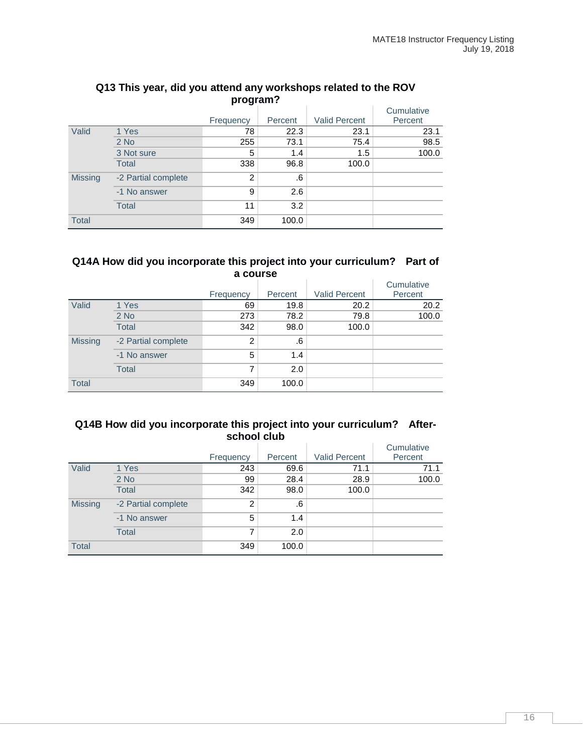|                |                     | Frequency      | Percent | <b>Valid Percent</b> | Cumulative<br>Percent |
|----------------|---------------------|----------------|---------|----------------------|-----------------------|
| Valid          | 1 Yes               | 78             | 22.3    | 23.1                 | 23.1                  |
|                | $2$ No              | 255            | 73.1    | 75.4                 | 98.5                  |
|                | 3 Not sure          | 5              | 1.4     | 1.5                  | 100.0                 |
|                | <b>Total</b>        | 338            | 96.8    | 100.0                |                       |
| <b>Missing</b> | -2 Partial complete | $\overline{2}$ | .6      |                      |                       |
|                | -1 No answer        | 9              | 2.6     |                      |                       |
|                | <b>Total</b>        | 11             | 3.2     |                      |                       |
| <b>Total</b>   |                     | 349            | 100.0   |                      |                       |

#### **Q13 This year, did you attend any workshops related to the ROV program?**

#### **Q14A How did you incorporate this project into your curriculum? Part of a course**

|                |                     |                |         |                      | Cumulative |
|----------------|---------------------|----------------|---------|----------------------|------------|
|                |                     | Frequency      | Percent | <b>Valid Percent</b> | Percent    |
| Valid          | 1 Yes               | 69             | 19.8    | 20.2                 | 20.2       |
|                | $2$ No              | 273            | 78.2    | 79.8                 | 100.0      |
|                | <b>Total</b>        | 342            | 98.0    | 100.0                |            |
| <b>Missing</b> | -2 Partial complete | $\overline{2}$ | .6      |                      |            |
|                | -1 No answer        | 5              | 1.4     |                      |            |
|                | <b>Total</b>        | 7              | 2.0     |                      |            |
| <b>Total</b>   |                     | 349            | 100.0   |                      |            |

#### **Q14B How did you incorporate this project into your curriculum? Afterschool club**  $\sim$  $\Gamma$  Cumulative

|                |                     | Frequency | Percent | <b>Valid Percent</b> | Cumulative<br>Percent |
|----------------|---------------------|-----------|---------|----------------------|-----------------------|
| Valid          | 1 Yes               | 243       | 69.6    | 71.1                 | 71.1                  |
|                | $2$ No              | 99        | 28.4    | 28.9                 | 100.0                 |
|                | <b>Total</b>        | 342       | 98.0    | 100.0                |                       |
| <b>Missing</b> | -2 Partial complete | 2         | .6      |                      |                       |
|                | -1 No answer        | 5         | 1.4     |                      |                       |
|                | <b>Total</b>        | 7         | 2.0     |                      |                       |
| <b>Total</b>   |                     | 349       | 100.0   |                      |                       |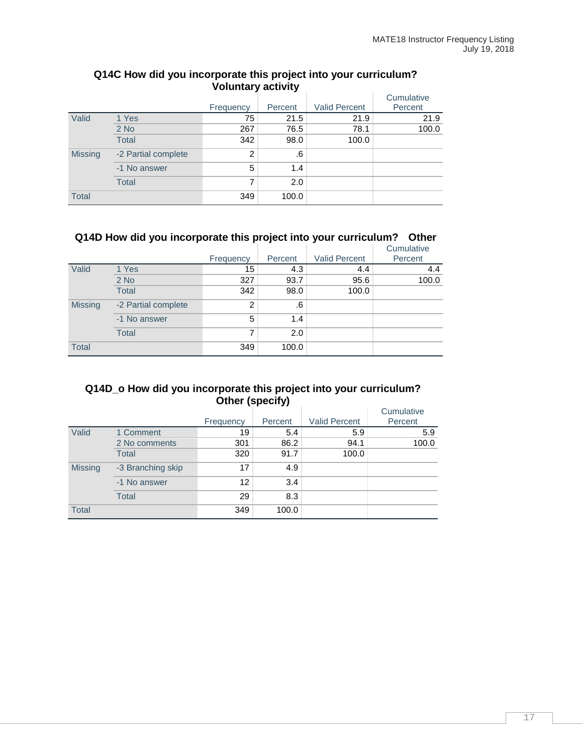|                |                     | Frequency | Percent | <b>Valid Percent</b> | Cumulative<br>Percent |
|----------------|---------------------|-----------|---------|----------------------|-----------------------|
| Valid          | 1 Yes               | 75        | 21.5    | 21.9                 | 21.9                  |
|                | $2$ No              | 267       | 76.5    | 78.1                 | 100.0                 |
|                | <b>Total</b>        | 342       | 98.0    | 100.0                |                       |
| <b>Missing</b> | -2 Partial complete | 2         | .6      |                      |                       |
|                | -1 No answer        | 5         | 1.4     |                      |                       |
|                | <b>Total</b>        | 7         | 2.0     |                      |                       |
| <b>Total</b>   |                     | 349       | 100.0   |                      |                       |

#### **Q14C How did you incorporate this project into your curriculum? Voluntary activity**

## **Q14D How did you incorporate this project into your curriculum? Other**

|                |                     | Frequency      | Percent | <b>Valid Percent</b> | Cumulative<br>Percent |
|----------------|---------------------|----------------|---------|----------------------|-----------------------|
| Valid          | 1 Yes               | 15             | 4.3     | 4.4                  | 4.4                   |
|                | $2$ No              | 327            | 93.7    | 95.6                 | 100.0                 |
|                | <b>Total</b>        | 342            | 98.0    | 100.0                |                       |
| <b>Missing</b> | -2 Partial complete | $\overline{2}$ | .6      |                      |                       |
|                | -1 No answer        | 5              | 1.4     |                      |                       |
|                | <b>Total</b>        | 7              | 2.0     |                      |                       |
| <b>Total</b>   |                     | 349            | 100.0   |                      |                       |

### **Q14D\_o How did you incorporate this project into your curriculum? Other (specify)**

|                |                   | Frequency | Percent | <b>Valid Percent</b> | Cumulative<br>Percent |
|----------------|-------------------|-----------|---------|----------------------|-----------------------|
| Valid          | 1 Comment         | 19        | 5.4     | 5.9                  | 5.9                   |
|                | 2 No comments     | 301       | 86.2    | 94.1                 | 100.0                 |
|                | <b>Total</b>      | 320       | 91.7    | 100.0                |                       |
| <b>Missing</b> | -3 Branching skip | 17        | 4.9     |                      |                       |
|                | -1 No answer      | 12        | 3.4     |                      |                       |
|                | <b>Total</b>      | 29        | 8.3     |                      |                       |
| <b>Total</b>   |                   | 349       | 100.0   |                      |                       |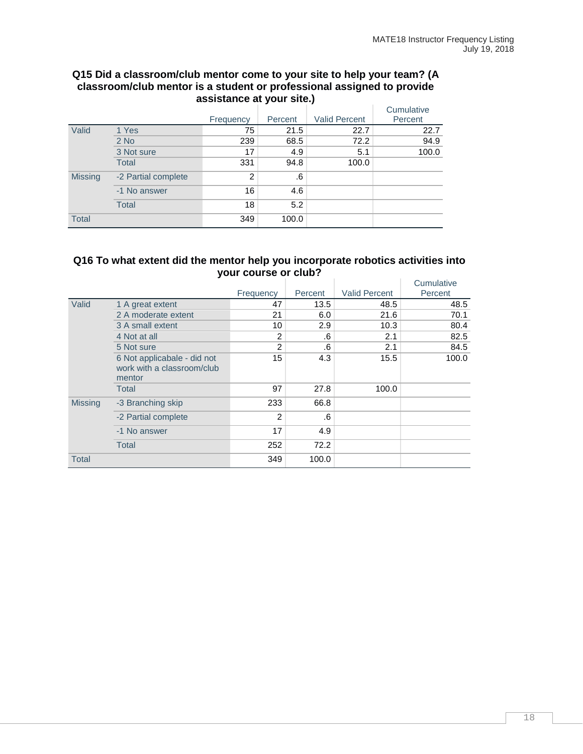#### **Q15 Did a classroom/club mentor come to your site to help your team? (A classroom/club mentor is a student or professional assigned to provide assistance at your site.)**

|                |                     | Frequency      | Percent | <b>Valid Percent</b> | Cumulative<br>Percent |
|----------------|---------------------|----------------|---------|----------------------|-----------------------|
| Valid          | 1 Yes               | 75             | 21.5    | 22.7                 | 22.7                  |
|                | $2$ No              | 239            | 68.5    | 72.2                 | 94.9                  |
|                | 3 Not sure          | 17             | 4.9     | 5.1                  | 100.0                 |
|                | <b>Total</b>        | 331            | 94.8    | 100.0                |                       |
| <b>Missing</b> | -2 Partial complete | $\overline{2}$ | .6      |                      |                       |
|                | -1 No answer        | 16             | 4.6     |                      |                       |
|                | <b>Total</b>        | 18             | 5.2     |                      |                       |
| <b>Total</b>   |                     | 349            | 100.0   |                      |                       |

### **Q16 To what extent did the mentor help you incorporate robotics activities into your course or club?**

|                |                                                                     |                |         |                      | Cumulative |
|----------------|---------------------------------------------------------------------|----------------|---------|----------------------|------------|
|                |                                                                     | Frequency      | Percent | <b>Valid Percent</b> | Percent    |
| Valid          | 1 A great extent                                                    | 47             | 13.5    | 48.5                 | 48.5       |
|                | 2 A moderate extent                                                 | 21             | 6.0     | 21.6                 | 70.1       |
|                | 3 A small extent                                                    | 10             | 2.9     | 10.3                 | 80.4       |
|                | 4 Not at all                                                        | 2              | .6      | 2.1                  | 82.5       |
|                | 5 Not sure                                                          | $\overline{2}$ | .6      | 2.1                  | 84.5       |
|                | 6 Not applicabale - did not<br>work with a classroom/club<br>mentor | 15             | 4.3     | 15.5                 | 100.0      |
|                | <b>Total</b>                                                        | 97             | 27.8    | 100.0                |            |
| <b>Missing</b> | -3 Branching skip                                                   | 233            | 66.8    |                      |            |
|                | -2 Partial complete                                                 | 2              | .6      |                      |            |
|                | -1 No answer                                                        | 17             | 4.9     |                      |            |
|                | <b>Total</b>                                                        | 252            | 72.2    |                      |            |
| Total          |                                                                     | 349            | 100.0   |                      |            |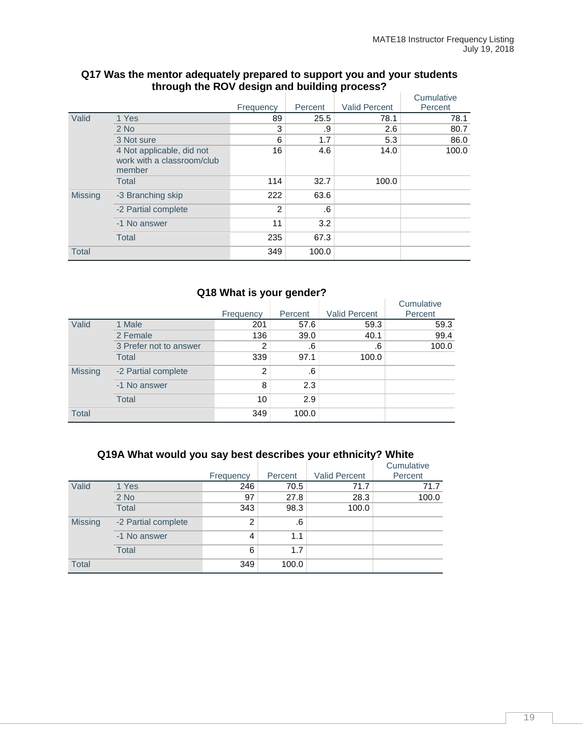|                |                                                                   |           |         |                      | Cumulative |
|----------------|-------------------------------------------------------------------|-----------|---------|----------------------|------------|
|                |                                                                   | Frequency | Percent | <b>Valid Percent</b> | Percent    |
| Valid          | 1 Yes                                                             | 89        | 25.5    | 78.1                 | 78.1       |
|                | $2$ No                                                            | 3         | .9      | 2.6                  | 80.7       |
|                | 3 Not sure                                                        | 6         | 1.7     | 5.3                  | 86.0       |
|                | 4 Not applicable, did not<br>work with a classroom/club<br>member | 16        | 4.6     | 14.0                 | 100.0      |
|                | <b>Total</b>                                                      | 114       | 32.7    | 100.0                |            |
| <b>Missing</b> | -3 Branching skip                                                 | 222       | 63.6    |                      |            |
|                | -2 Partial complete                                               | 2         | .6      |                      |            |
|                | -1 No answer                                                      | 11        | 3.2     |                      |            |
|                | <b>Total</b>                                                      | 235       | 67.3    |                      |            |
| <b>Total</b>   |                                                                   | 349       | 100.0   |                      |            |

#### **Q17 Was the mentor adequately prepared to support you and your students through the ROV design and building process?**

## **Q18 What is your gender?**

|                |                        | Frequency | Percent | <b>Valid Percent</b> | Cumulative<br>Percent |
|----------------|------------------------|-----------|---------|----------------------|-----------------------|
| Valid          | 1 Male                 | 201       | 57.6    | 59.3                 | 59.3                  |
|                | 2 Female               | 136       | 39.0    | 40.1                 | 99.4                  |
|                | 3 Prefer not to answer | 2         | .6      | .6                   | 100.0                 |
|                | <b>Total</b>           | 339       | 97.1    | 100.0                |                       |
| <b>Missing</b> | -2 Partial complete    | 2         | .6      |                      |                       |
|                | -1 No answer           | 8         | 2.3     |                      |                       |
|                | <b>Total</b>           | 10        | 2.9     |                      |                       |
| <b>Total</b>   |                        | 349       | 100.0   |                      |                       |

## **Q19A What would you say best describes your ethnicity? White**

|                |                     |           |         |                      | Cumulative |
|----------------|---------------------|-----------|---------|----------------------|------------|
|                |                     | Frequency | Percent | <b>Valid Percent</b> | Percent    |
| Valid          | 1 Yes               | 246       | 70.5    | 71.7                 | 71.7       |
|                | $2$ No              | 97        | 27.8    | 28.3                 | 100.0      |
|                | <b>Total</b>        | 343       | 98.3    | 100.0                |            |
| <b>Missing</b> | -2 Partial complete | 2         | .6      |                      |            |
|                | -1 No answer        | 4         | 1.1     |                      |            |
|                | <b>Total</b>        | 6         | 1.7     |                      |            |
| <b>Total</b>   |                     | 349       | 100.0   |                      |            |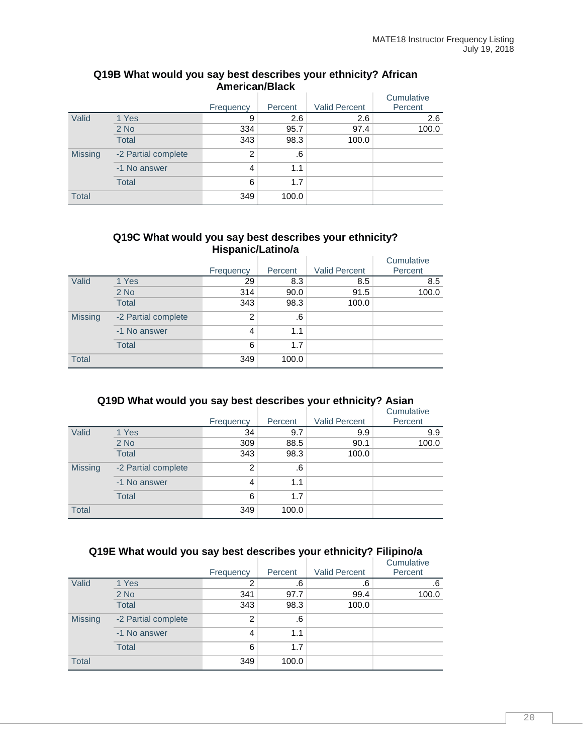|                |                     | Frequency      | Percent | <b>Valid Percent</b> | Cumulative<br>Percent |
|----------------|---------------------|----------------|---------|----------------------|-----------------------|
| Valid          | 1 Yes               | 9              | 2.6     | 2.6                  | 2.6                   |
|                | $2$ No              | 334            | 95.7    | 97.4                 | 100.0                 |
|                | <b>Total</b>        | 343            | 98.3    | 100.0                |                       |
| <b>Missing</b> | -2 Partial complete | $\overline{2}$ | .6      |                      |                       |
|                | -1 No answer        | 4              | 1.1     |                      |                       |
|                | <b>Total</b>        | 6              | 1.7     |                      |                       |
| <b>Total</b>   |                     | 349            | 100.0   |                      |                       |

#### **Q19B What would you say best describes your ethnicity? African American/Black**

#### **Q19C What would you say best describes your ethnicity? Hispanic/Latino/a**

|                |                     |           |         |                      | Cumulative |
|----------------|---------------------|-----------|---------|----------------------|------------|
|                |                     | Frequency | Percent | <b>Valid Percent</b> | Percent    |
| Valid          | 1 Yes               | 29        | 8.3     | 8.5                  | 8.5        |
|                | $2$ No              | 314       | 90.0    | 91.5                 | 100.0      |
|                | <b>Total</b>        | 343       | 98.3    | 100.0                |            |
| <b>Missing</b> | -2 Partial complete | 2         | .6      |                      |            |
|                | -1 No answer        | 4         | 1.1     |                      |            |
|                | <b>Total</b>        | 6         | 1.7     |                      |            |
| <b>Total</b>   |                     | 349       | 100.0   |                      |            |

## **Q19D What would you say best describes your ethnicity? Asian**

|                |                     | Frequency      | Percent | <b>Valid Percent</b> | Cumulative<br>Percent |
|----------------|---------------------|----------------|---------|----------------------|-----------------------|
| Valid          | 1 Yes               | 34             | 9.7     | 9.9                  | 9.9                   |
|                | $2$ No              | 309            | 88.5    | 90.1                 | 100.0                 |
|                | <b>Total</b>        | 343            | 98.3    | 100.0                |                       |
| <b>Missing</b> | -2 Partial complete | $\overline{2}$ | .6      |                      |                       |
|                | -1 No answer        | 4              | 1.1     |                      |                       |
|                | <b>Total</b>        | 6              | 1.7     |                      |                       |
| <b>Total</b>   |                     | 349            | 100.0   |                      |                       |

#### **Q19E What would you say best describes your ethnicity? Filipino/a**

|                | -                   | -<br>Frequency | Percent | -<br><b>Valid Percent</b> | Cumulative<br>Percent |
|----------------|---------------------|----------------|---------|---------------------------|-----------------------|
| Valid          | 1 Yes               | 2              | .6      | .6                        | .6                    |
|                | $2$ No              | 341            | 97.7    | 99.4                      | 100.0                 |
|                | <b>Total</b>        | 343            | 98.3    | 100.0                     |                       |
| <b>Missing</b> | -2 Partial complete | 2              | .6      |                           |                       |
|                | -1 No answer        | 4              | 1.1     |                           |                       |
|                | <b>Total</b>        | 6              | 1.7     |                           |                       |
| <b>Total</b>   |                     | 349            | 100.0   |                           |                       |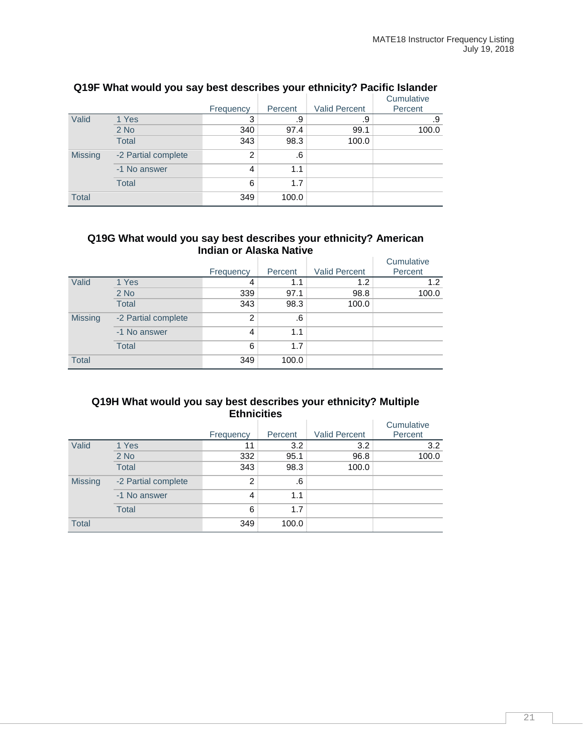|                |                     |           |         |                      | Cumulative |
|----------------|---------------------|-----------|---------|----------------------|------------|
|                |                     | Frequency | Percent | <b>Valid Percent</b> | Percent    |
| Valid          | 1 Yes               | 3         | .9      | .9                   | .9         |
|                | $2$ No              | 340       | 97.4    | 99.1                 | 100.0      |
|                | <b>Total</b>        | 343       | 98.3    | 100.0                |            |
| <b>Missing</b> | -2 Partial complete | 2         | .6      |                      |            |
|                | -1 No answer        | 4         | 1.1     |                      |            |
|                | <b>Total</b>        | 6         | 1.7     |                      |            |
| <b>Total</b>   |                     | 349       | 100.0   |                      |            |

## **Q19F What would you say best describes your ethnicity? Pacific Islander**

#### **Q19G What would you say best describes your ethnicity? American Indian or Alaska Native**

|                |                     |                |         |                      | Cumulative |
|----------------|---------------------|----------------|---------|----------------------|------------|
|                |                     | Frequency      | Percent | <b>Valid Percent</b> | Percent    |
| Valid          | 1 Yes               | 4              | 1.1     | 1.2                  | 1.2        |
|                | $2$ No              | 339            | 97.1    | 98.8                 | 100.0      |
|                | <b>Total</b>        | 343            | 98.3    | 100.0                |            |
| <b>Missing</b> | -2 Partial complete | $\overline{2}$ | .6      |                      |            |
|                | -1 No answer        | 4              | 1.1     |                      |            |
|                | <b>Total</b>        | 6              | 1.7     |                      |            |
| <b>Total</b>   |                     | 349            | 100.0   |                      |            |

#### **Q19H What would you say best describes your ethnicity? Multiple Ethnicities**

|                |                     | Frequency      | Percent | <b>Valid Percent</b> | Cumulative<br>Percent |
|----------------|---------------------|----------------|---------|----------------------|-----------------------|
| Valid          | 1 Yes               | 11             | 3.2     | 3.2                  | 3.2                   |
|                | $2$ No              | 332            | 95.1    | 96.8                 | 100.0                 |
|                | <b>Total</b>        | 343            | 98.3    | 100.0                |                       |
| <b>Missing</b> | -2 Partial complete | $\overline{2}$ | .6      |                      |                       |
|                | -1 No answer        | 4              | 1.1     |                      |                       |
|                | <b>Total</b>        | 6              | 1.7     |                      |                       |
| <b>Total</b>   |                     | 349            | 100.0   |                      |                       |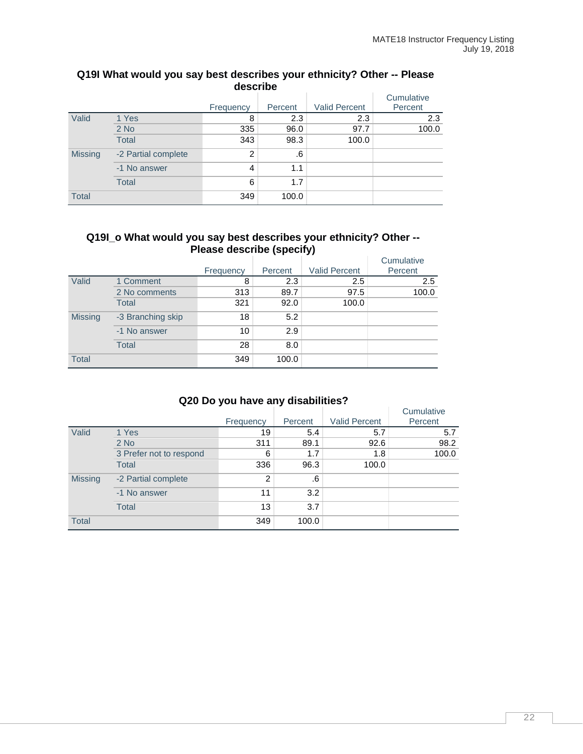| describe       |                     |                |         |                      |                       |  |  |
|----------------|---------------------|----------------|---------|----------------------|-----------------------|--|--|
|                |                     | Frequency      | Percent | <b>Valid Percent</b> | Cumulative<br>Percent |  |  |
| Valid          | 1 Yes               | 8              | 2.3     | 2.3                  | 2.3                   |  |  |
|                | $2$ No              | 335            | 96.0    | 97.7                 | 100.0                 |  |  |
|                | <b>Total</b>        | 343            | 98.3    | 100.0                |                       |  |  |
| <b>Missing</b> | -2 Partial complete | $\overline{2}$ | .6      |                      |                       |  |  |
|                | -1 No answer        | 4              | 1.1     |                      |                       |  |  |
|                | <b>Total</b>        | 6              | 1.7     |                      |                       |  |  |
| <b>Total</b>   |                     | 349            | 100.0   |                      |                       |  |  |

# **Q19I What would you say best describes your ethnicity? Other -- Please**

#### **Q19I\_o What would you say best describes your ethnicity? Other -- Please describe (specify)**

|                |                   | Frequency | Percent | <b>Valid Percent</b> | Cumulative<br>Percent |
|----------------|-------------------|-----------|---------|----------------------|-----------------------|
| Valid          | 1 Comment         | 8         | 2.3     | 2.5                  | 2.5                   |
|                | 2 No comments     | 313       | 89.7    | 97.5                 | 100.0                 |
|                | <b>Total</b>      | 321       | 92.0    | 100.0                |                       |
| <b>Missing</b> | -3 Branching skip | 18        | 5.2     |                      |                       |
|                | -1 No answer      | 10        | 2.9     |                      |                       |
|                | <b>Total</b>      | 28        | 8.0     |                      |                       |
| <b>Total</b>   |                   | 349       | 100.0   |                      |                       |

## **Q20 Do you have any disabilities?**

|                |                         | Frequency | Percent | <b>Valid Percent</b> | Cumulative<br>Percent |
|----------------|-------------------------|-----------|---------|----------------------|-----------------------|
| Valid          | 1 Yes                   | 19        | 5.4     | 5.7                  | 5.7                   |
|                | $2$ No                  | 311       | 89.1    | 92.6                 | 98.2                  |
|                | 3 Prefer not to respond | 6         | 1.7     | 1.8                  | 100.0                 |
|                | <b>Total</b>            | 336       | 96.3    | 100.0                |                       |
| <b>Missing</b> | -2 Partial complete     | 2         | .6      |                      |                       |
|                | -1 No answer            | 11        | 3.2     |                      |                       |
|                | <b>Total</b>            | 13        | 3.7     |                      |                       |
| <b>Total</b>   |                         | 349       | 100.0   |                      |                       |